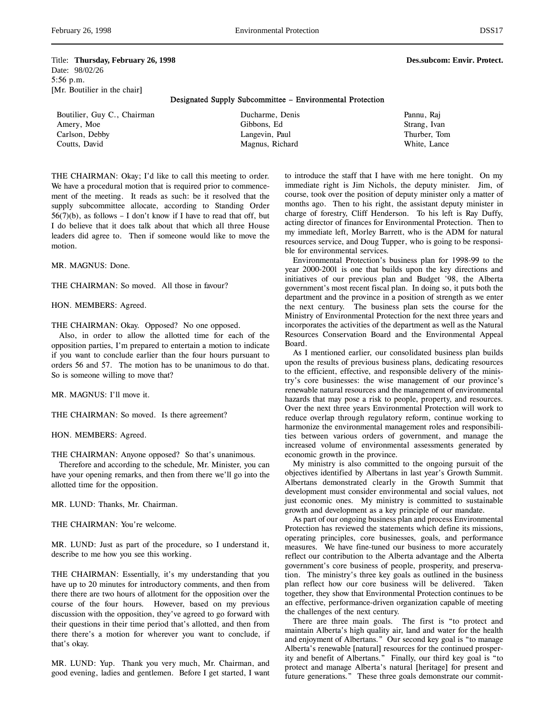Title: **Thursday, February 26, 1998 Des.subcom: Envir. Protect.** Date: 98/02/26 5:56 p.m. [Mr. Boutilier in the chair]

Designated Supply Subcommittee – Environmental Protection

| Boutilier, Guy C., Chairman | Ducharme, Denis | Pannu, Raj   |
|-----------------------------|-----------------|--------------|
| Amery, Moe                  | Gibbons, Ed     | Strang, Ivan |
| Carlson, Debby              | Langevin, Paul  | Thurber, Tom |
| Coutts, David               | Magnus, Richard | White, Lance |

THE CHAIRMAN: Okay; I'd like to call this meeting to order. We have a procedural motion that is required prior to commencement of the meeting. It reads as such: be it resolved that the supply subcommittee allocate, according to Standing Order  $56(7)(b)$ , as follows - I don't know if I have to read that off, but I do believe that it does talk about that which all three House leaders did agree to. Then if someone would like to move the motion.

MR. MAGNUS: Done.

THE CHAIRMAN: So moved. All those in favour?

HON. MEMBERS: Agreed.

THE CHAIRMAN: Okay. Opposed? No one opposed.

Also, in order to allow the allotted time for each of the opposition parties, I'm prepared to entertain a motion to indicate if you want to conclude earlier than the four hours pursuant to orders 56 and 57. The motion has to be unanimous to do that. So is someone willing to move that?

MR. MAGNUS: I'll move it.

THE CHAIRMAN: So moved. Is there agreement?

HON. MEMBERS: Agreed.

THE CHAIRMAN: Anyone opposed? So that's unanimous.

Therefore and according to the schedule, Mr. Minister, you can have your opening remarks, and then from there we'll go into the allotted time for the opposition.

MR. LUND: Thanks, Mr. Chairman.

THE CHAIRMAN: You're welcome.

MR. LUND: Just as part of the procedure, so I understand it, describe to me how you see this working.

THE CHAIRMAN: Essentially, it's my understanding that you have up to 20 minutes for introductory comments, and then from there there are two hours of allotment for the opposition over the course of the four hours. However, based on my previous discussion with the opposition, they've agreed to go forward with their questions in their time period that's allotted, and then from there there's a motion for wherever you want to conclude, if that's okay.

MR. LUND: Yup. Thank you very much, Mr. Chairman, and good evening, ladies and gentlemen. Before I get started, I want to introduce the staff that I have with me here tonight. On my immediate right is Jim Nichols, the deputy minister. Jim, of course, took over the position of deputy minister only a matter of months ago. Then to his right, the assistant deputy minister in charge of forestry, Cliff Henderson. To his left is Ray Duffy, acting director of finances for Environmental Protection. Then to my immediate left, Morley Barrett, who is the ADM for natural resources service, and Doug Tupper, who is going to be responsible for environmental services.

Environmental Protection's business plan for 1998-99 to the year 2000-2001 is one that builds upon the key directions and initiatives of our previous plan and Budget '98, the Alberta government's most recent fiscal plan. In doing so, it puts both the department and the province in a position of strength as we enter the next century. The business plan sets the course for the Ministry of Environmental Protection for the next three years and incorporates the activities of the department as well as the Natural Resources Conservation Board and the Environmental Appeal Board.

As I mentioned earlier, our consolidated business plan builds upon the results of previous business plans, dedicating resources to the efficient, effective, and responsible delivery of the ministry's core businesses: the wise management of our province's renewable natural resources and the management of environmental hazards that may pose a risk to people, property, and resources. Over the next three years Environmental Protection will work to reduce overlap through regulatory reform, continue working to harmonize the environmental management roles and responsibilities between various orders of government, and manage the increased volume of environmental assessments generated by economic growth in the province.

My ministry is also committed to the ongoing pursuit of the objectives identified by Albertans in last year's Growth Summit. Albertans demonstrated clearly in the Growth Summit that development must consider environmental and social values, not just economic ones. My ministry is committed to sustainable growth and development as a key principle of our mandate.

As part of our ongoing business plan and process Environmental Protection has reviewed the statements which define its missions, operating principles, core businesses, goals, and performance measures. We have fine-tuned our business to more accurately reflect our contribution to the Alberta advantage and the Alberta government's core business of people, prosperity, and preservation. The ministry's three key goals as outlined in the business plan reflect how our core business will be delivered. Taken together, they show that Environmental Protection continues to be an effective, performance-driven organization capable of meeting the challenges of the next century.

There are three main goals. The first is "to protect and maintain Alberta's high quality air, land and water for the health and enjoyment of Albertans." Our second key goal is "to manage Alberta's renewable [natural] resources for the continued prosperity and benefit of Albertans." Finally, our third key goal is "to protect and manage Alberta's natural [heritage] for present and future generations." These three goals demonstrate our commit-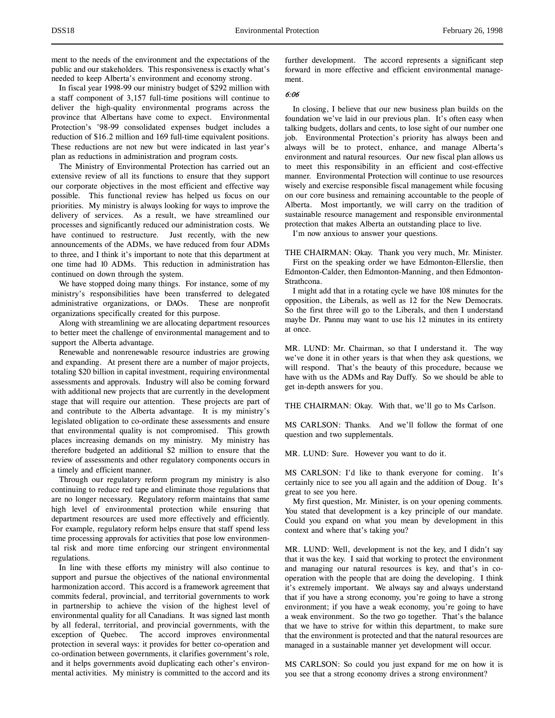ment to the needs of the environment and the expectations of the public and our stakeholders. This responsiveness is exactly what's needed to keep Alberta's environment and economy strong.

In fiscal year 1998-99 our ministry budget of \$292 million with a staff component of 3,157 full-time positions will continue to deliver the high-quality environmental programs across the province that Albertans have come to expect. Environmental Protection's '98-99 consolidated expenses budget includes a reduction of \$16.2 million and 169 full-time equivalent positions. These reductions are not new but were indicated in last year's plan as reductions in administration and program costs.

The Ministry of Environmental Protection has carried out an extensive review of all its functions to ensure that they support our corporate objectives in the most efficient and effective way possible. This functional review has helped us focus on our priorities. My ministry is always looking for ways to improve the delivery of services. As a result, we have streamlined our processes and significantly reduced our administration costs. We have continued to restructure. Just recently, with the new announcements of the ADMs, we have reduced from four ADMs to three, and I think it's important to note that this department at one time had 10 ADMs. This reduction in administration has continued on down through the system.

We have stopped doing many things. For instance, some of my ministry's responsibilities have been transferred to delegated administrative organizations, or DAOs. These are nonprofit organizations specifically created for this purpose.

Along with streamlining we are allocating department resources to better meet the challenge of environmental management and to support the Alberta advantage.

Renewable and nonrenewable resource industries are growing and expanding. At present there are a number of major projects, totaling \$20 billion in capital investment, requiring environmental assessments and approvals. Industry will also be coming forward with additional new projects that are currently in the development stage that will require our attention. These projects are part of and contribute to the Alberta advantage. It is my ministry's legislated obligation to co-ordinate these assessments and ensure that environmental quality is not compromised. This growth places increasing demands on my ministry. My ministry has therefore budgeted an additional \$2 million to ensure that the review of assessments and other regulatory components occurs in a timely and efficient manner.

Through our regulatory reform program my ministry is also continuing to reduce red tape and eliminate those regulations that are no longer necessary. Regulatory reform maintains that same high level of environmental protection while ensuring that department resources are used more effectively and efficiently. For example, regulatory reform helps ensure that staff spend less time processing approvals for activities that pose low environmental risk and more time enforcing our stringent environmental regulations.

In line with these efforts my ministry will also continue to support and pursue the objectives of the national environmental harmonization accord. This accord is a framework agreement that commits federal, provincial, and territorial governments to work in partnership to achieve the vision of the highest level of environmental quality for all Canadians. It was signed last month by all federal, territorial, and provincial governments, with the exception of Quebec. The accord improves environmental protection in several ways: it provides for better co-operation and co-ordination between governments, it clarifies government's role, and it helps governments avoid duplicating each other's environmental activities. My ministry is committed to the accord and its further development. The accord represents a significant step forward in more effective and efficient environmental management.

## 6:06

In closing, I believe that our new business plan builds on the foundation we've laid in our previous plan. It's often easy when talking budgets, dollars and cents, to lose sight of our number one job. Environmental Protection's priority has always been and always will be to protect, enhance, and manage Alberta's environment and natural resources. Our new fiscal plan allows us to meet this responsibility in an efficient and cost-effective manner. Environmental Protection will continue to use resources wisely and exercise responsible fiscal management while focusing on our core business and remaining accountable to the people of Alberta. Most importantly, we will carry on the tradition of sustainable resource management and responsible environmental protection that makes Alberta an outstanding place to live.

I'm now anxious to answer your questions.

THE CHAIRMAN: Okay. Thank you very much, Mr. Minister. First on the speaking order we have Edmonton-Ellerslie, then Edmonton-Calder, then Edmonton-Manning, and then Edmonton-Strathcona.

I might add that in a rotating cycle we have 108 minutes for the opposition, the Liberals, as well as 12 for the New Democrats. So the first three will go to the Liberals, and then I understand maybe Dr. Pannu may want to use his 12 minutes in its entirety at once.

MR. LUND: Mr. Chairman, so that I understand it. The way we've done it in other years is that when they ask questions, we will respond. That's the beauty of this procedure, because we have with us the ADMs and Ray Duffy. So we should be able to get in-depth answers for you.

THE CHAIRMAN: Okay. With that, we'll go to Ms Carlson.

MS CARLSON: Thanks. And we'll follow the format of one question and two supplementals.

MR. LUND: Sure. However you want to do it.

MS CARLSON: I'd like to thank everyone for coming. It's certainly nice to see you all again and the addition of Doug. It's great to see you here.

My first question, Mr. Minister, is on your opening comments. You stated that development is a key principle of our mandate. Could you expand on what you mean by development in this context and where that's taking you?

MR. LUND: Well, development is not the key, and I didn't say that it was the key. I said that working to protect the environment and managing our natural resources is key, and that's in cooperation with the people that are doing the developing. I think it's extremely important. We always say and always understand that if you have a strong economy, you're going to have a strong environment; if you have a weak economy, you're going to have a weak environment. So the two go together. That's the balance that we have to strive for within this department, to make sure that the environment is protected and that the natural resources are managed in a sustainable manner yet development will occur.

MS CARLSON: So could you just expand for me on how it is you see that a strong economy drives a strong environment?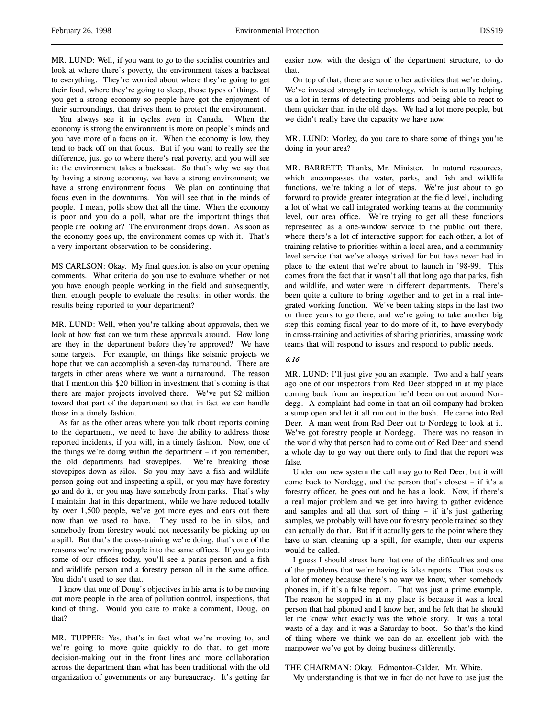MR. LUND: Well, if you want to go to the socialist countries and look at where there's poverty, the environment takes a backseat to everything. They're worried about where they're going to get their food, where they're going to sleep, those types of things. If you get a strong economy so people have got the enjoyment of their surroundings, that drives them to protect the environment.

You always see it in cycles even in Canada. When the economy is strong the environment is more on people's minds and you have more of a focus on it. When the economy is low, they tend to back off on that focus. But if you want to really see the difference, just go to where there's real poverty, and you will see it: the environment takes a backseat. So that's why we say that by having a strong economy, we have a strong environment; we have a strong environment focus. We plan on continuing that focus even in the downturns. You will see that in the minds of people. I mean, polls show that all the time. When the economy is poor and you do a poll, what are the important things that people are looking at? The environment drops down. As soon as the economy goes up, the environment comes up with it. That's a very important observation to be considering.

MS CARLSON: Okay. My final question is also on your opening comments. What criteria do you use to evaluate whether or not you have enough people working in the field and subsequently, then, enough people to evaluate the results; in other words, the results being reported to your department?

MR. LUND: Well, when you're talking about approvals, then we look at how fast can we turn these approvals around. How long are they in the department before they're approved? We have some targets. For example, on things like seismic projects we hope that we can accomplish a seven-day turnaround. There are targets in other areas where we want a turnaround. The reason that I mention this \$20 billion in investment that's coming is that there are major projects involved there. We've put \$2 million toward that part of the department so that in fact we can handle those in a timely fashion.

As far as the other areas where you talk about reports coming to the department, we need to have the ability to address those reported incidents, if you will, in a timely fashion. Now, one of the things we're doing within the department – if you remember, the old departments had stovepipes. We're breaking those stovepipes down as silos. So you may have a fish and wildlife person going out and inspecting a spill, or you may have forestry go and do it, or you may have somebody from parks. That's why I maintain that in this department, while we have reduced totally by over 1,500 people, we've got more eyes and ears out there now than we used to have. They used to be in silos, and somebody from forestry would not necessarily be picking up on a spill. But that's the cross-training we're doing; that's one of the reasons we're moving people into the same offices. If you go into some of our offices today, you'll see a parks person and a fish and wildlife person and a forestry person all in the same office. You didn't used to see that.

I know that one of Doug's objectives in his area is to be moving out more people in the area of pollution control, inspections, that kind of thing. Would you care to make a comment, Doug, on that?

MR. TUPPER: Yes, that's in fact what we're moving to, and we're going to move quite quickly to do that, to get more decision-making out in the front lines and more collaboration across the department than what has been traditional with the old organization of governments or any bureaucracy. It's getting far

easier now, with the design of the department structure, to do that.

On top of that, there are some other activities that we're doing. We've invested strongly in technology, which is actually helping us a lot in terms of detecting problems and being able to react to them quicker than in the old days. We had a lot more people, but we didn't really have the capacity we have now.

MR. LUND: Morley, do you care to share some of things you're doing in your area?

MR. BARRETT: Thanks, Mr. Minister. In natural resources, which encompasses the water, parks, and fish and wildlife functions, we're taking a lot of steps. We're just about to go forward to provide greater integration at the field level, including a lot of what we call integrated working teams at the community level, our area office. We're trying to get all these functions represented as a one-window service to the public out there, where there's a lot of interactive support for each other, a lot of training relative to priorities within a local area, and a community level service that we've always strived for but have never had in place to the extent that we're about to launch in '98-99. This comes from the fact that it wasn't all that long ago that parks, fish and wildlife, and water were in different departments. There's been quite a culture to bring together and to get in a real integrated working function. We've been taking steps in the last two or three years to go there, and we're going to take another big step this coming fiscal year to do more of it, to have everybody in cross-training and activities of sharing priorities, amassing work teams that will respond to issues and respond to public needs.

# 6:16

MR. LUND: I'll just give you an example. Two and a half years ago one of our inspectors from Red Deer stopped in at my place coming back from an inspection he'd been on out around Nordegg. A complaint had come in that an oil company had broken a sump open and let it all run out in the bush. He came into Red Deer. A man went from Red Deer out to Nordegg to look at it. We've got forestry people at Nordegg. There was no reason in the world why that person had to come out of Red Deer and spend a whole day to go way out there only to find that the report was false.

Under our new system the call may go to Red Deer, but it will come back to Nordegg, and the person that's closest – if it's a forestry officer, he goes out and he has a look. Now, if there's a real major problem and we get into having to gather evidence and samples and all that sort of thing – if it's just gathering samples, we probably will have our forestry people trained so they can actually do that. But if it actually gets to the point where they have to start cleaning up a spill, for example, then our experts would be called.

I guess I should stress here that one of the difficulties and one of the problems that we're having is false reports. That costs us a lot of money because there's no way we know, when somebody phones in, if it's a false report. That was just a prime example. The reason he stopped in at my place is because it was a local person that had phoned and I know her, and he felt that he should let me know what exactly was the whole story. It was a total waste of a day, and it was a Saturday to boot. So that's the kind of thing where we think we can do an excellent job with the manpower we've got by doing business differently.

## THE CHAIRMAN: Okay. Edmonton-Calder. Mr. White.

My understanding is that we in fact do not have to use just the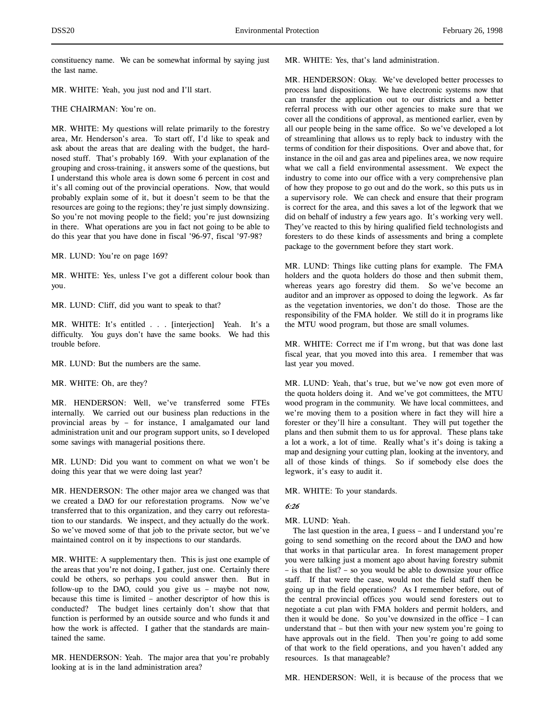constituency name. We can be somewhat informal by saying just the last name.

MR. WHITE: Yeah, you just nod and I'll start.

THE CHAIRMAN: You're on.

MR. WHITE: My questions will relate primarily to the forestry area, Mr. Henderson's area. To start off, I'd like to speak and ask about the areas that are dealing with the budget, the hardnosed stuff. That's probably 169. With your explanation of the grouping and cross-training, it answers some of the questions, but I understand this whole area is down some 6 percent in cost and it's all coming out of the provincial operations. Now, that would probably explain some of it, but it doesn't seem to be that the resources are going to the regions; they're just simply downsizing. So you're not moving people to the field; you're just downsizing in there. What operations are you in fact not going to be able to do this year that you have done in fiscal '96-97, fiscal '97-98?

MR. LUND: You're on page 169?

MR. WHITE: Yes, unless I've got a different colour book than you.

MR. LUND: Cliff, did you want to speak to that?

MR. WHITE: It's entitled . . . [interjection] Yeah. It's a difficulty. You guys don't have the same books. We had this trouble before.

MR. LUND: But the numbers are the same.

MR. WHITE: Oh, are they?

MR. HENDERSON: Well, we've transferred some FTEs internally. We carried out our business plan reductions in the provincial areas by – for instance, I amalgamated our land administration unit and our program support units, so I developed some savings with managerial positions there.

MR. LUND: Did you want to comment on what we won't be doing this year that we were doing last year?

MR. HENDERSON: The other major area we changed was that we created a DAO for our reforestation programs. Now we've transferred that to this organization, and they carry out reforestation to our standards. We inspect, and they actually do the work. So we've moved some of that job to the private sector, but we've maintained control on it by inspections to our standards.

MR. WHITE: A supplementary then. This is just one example of the areas that you're not doing, I gather, just one. Certainly there could be others, so perhaps you could answer then. But in follow-up to the DAO, could you give us – maybe not now, because this time is limited – another descriptor of how this is conducted? The budget lines certainly don't show that that function is performed by an outside source and who funds it and how the work is affected. I gather that the standards are maintained the same.

MR. HENDERSON: Yeah. The major area that you're probably looking at is in the land administration area?

MR. WHITE: Yes, that's land administration.

MR. HENDERSON: Okay. We've developed better processes to process land dispositions. We have electronic systems now that can transfer the application out to our districts and a better referral process with our other agencies to make sure that we cover all the conditions of approval, as mentioned earlier, even by all our people being in the same office. So we've developed a lot of streamlining that allows us to reply back to industry with the terms of condition for their dispositions. Over and above that, for instance in the oil and gas area and pipelines area, we now require what we call a field environmental assessment. We expect the industry to come into our office with a very comprehensive plan of how they propose to go out and do the work, so this puts us in a supervisory role. We can check and ensure that their program is correct for the area, and this saves a lot of the legwork that we did on behalf of industry a few years ago. It's working very well. They've reacted to this by hiring qualified field technologists and foresters to do these kinds of assessments and bring a complete package to the government before they start work.

MR. LUND: Things like cutting plans for example. The FMA holders and the quota holders do those and then submit them, whereas years ago forestry did them. So we've become an auditor and an improver as opposed to doing the legwork. As far as the vegetation inventories, we don't do those. Those are the responsibility of the FMA holder. We still do it in programs like the MTU wood program, but those are small volumes.

MR. WHITE: Correct me if I'm wrong, but that was done last fiscal year, that you moved into this area. I remember that was last year you moved.

MR. LUND: Yeah, that's true, but we've now got even more of the quota holders doing it. And we've got committees, the MTU wood program in the community. We have local committees, and we're moving them to a position where in fact they will hire a forester or they'll hire a consultant. They will put together the plans and then submit them to us for approval. These plans take a lot a work, a lot of time. Really what's it's doing is taking a map and designing your cutting plan, looking at the inventory, and all of those kinds of things. So if somebody else does the legwork, it's easy to audit it.

MR. WHITE: To your standards.

# 6:26

MR. LUND: Yeah.

The last question in the area, I guess – and I understand you're going to send something on the record about the DAO and how that works in that particular area. In forest management proper you were talking just a moment ago about having forestry submit – is that the list? – so you would be able to downsize your office staff. If that were the case, would not the field staff then be going up in the field operations? As I remember before, out of the central provincial offices you would send foresters out to negotiate a cut plan with FMA holders and permit holders, and then it would be done. So you've downsized in the office – I can understand that – but then with your new system you're going to have approvals out in the field. Then you're going to add some of that work to the field operations, and you haven't added any resources. Is that manageable?

MR. HENDERSON: Well, it is because of the process that we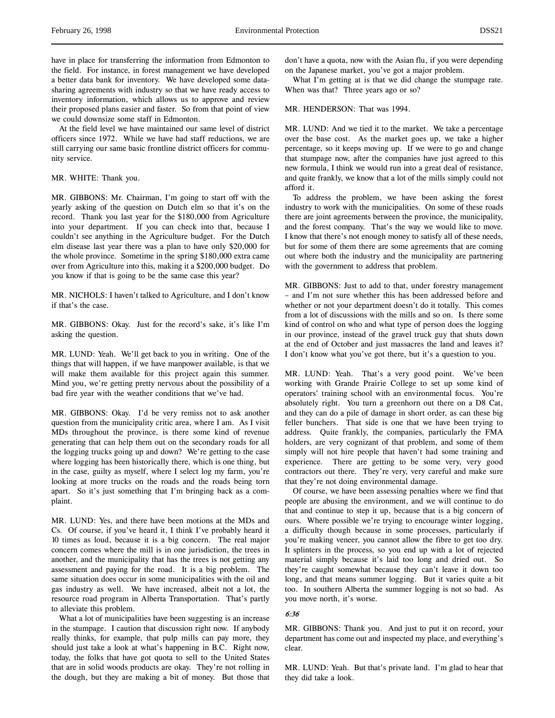have in place for transferring the information from Edmonton to the field. For instance, in forest management we have developed a better data bank for inventory. We have developed some datasharing agreements with industry so that we have ready access to inventory information, which allows us to approve and review their proposed plans easier and faster. So from that point of view we could downsize some staff in Edmonton.

At the field level we have maintained our same level of district officers since 1972. While we have had staff reductions, we are still carrying our same basic frontline district officers for community service.

## MR. WHITE: Thank you.

MR. GIBBONS: Mr. Chairman, I'm going to start off with the yearly asking of the question on Dutch elm so that it's on the record. Thank you last year for the \$180,000 from Agriculture into your department. If you can check into that, because I couldn't see anything in the Agriculture budget. For the Dutch elm disease last year there was a plan to have only \$20,000 for the whole province. Sometime in the spring \$180,000 extra came over from Agriculture into this, making it a \$200,000 budget. Do you know if that is going to be the same case this year?

MR. NICHOLS: I haven't talked to Agriculture, and I don't know if that's the case.

MR. GIBBONS: Okay. Just for the record's sake, it's like I'm asking the question.

MR. LUND: Yeah. We'll get back to you in writing. One of the things that will happen, if we have manpower available, is that we will make them available for this project again this summer. Mind you, we're getting pretty nervous about the possibility of a bad fire year with the weather conditions that we've had.

MR. GIBBONS: Okay. I'd be very remiss not to ask another question from the municipality critic area, where I am. As I visit MDs throughout the province, is there some kind of revenue generating that can help them out on the secondary roads for all the logging trucks going up and down? We're getting to the case where logging has been historically there, which is one thing, but in the case, guilty as myself, where I select log my farm, you're looking at more trucks on the roads and the roads being torn apart. So it's just something that I'm bringing back as a complaint.

MR. LUND: Yes, and there have been motions at the MDs and Cs. Of course, if you've heard it, I think I've probably heard it 10 times as loud, because it is a big concern. The real major concern comes where the mill is in one jurisdiction, the trees in another, and the municipality that has the trees is not getting any assessment and paying for the road. It is a big problem. The same situation does occur in some municipalities with the oil and gas industry as well. We have increased, albeit not a lot, the resource road program in Alberta Transportation. That's partly to alleviate this problem.

What a lot of municipalities have been suggesting is an increase in the stumpage. I caution that discussion right now. If anybody really thinks, for example, that pulp mills can pay more, they should just take a look at what's happening in B.C. Right now, today, the folks that have got quota to sell to the United States that are in solid woods products are okay. They're not rolling in the dough, but they are making a bit of money. But those that don't have a quota, now with the Asian flu, if you were depending on the Japanese market, you've got a major problem.

What I'm getting at is that we did change the stumpage rate. When was that? Three years ago or so?

## MR. HENDERSON: That was 1994.

MR. LUND: And we tied it to the market. We take a percentage over the base cost. As the market goes up, we take a higher percentage, so it keeps moving up. If we were to go and change that stumpage now, after the companies have just agreed to this new formula, I think we would run into a great deal of resistance, and quite frankly, we know that a lot of the mills simply could not afford it.

To address the problem, we have been asking the forest industry to work with the municipalities. On some of these roads there are joint agreements between the province, the municipality, and the forest company. That's the way we would like to move. I know that there's not enough money to satisfy all of these needs, but for some of them there are some agreements that are coming out where both the industry and the municipality are partnering with the government to address that problem.

MR. GIBBONS: Just to add to that, under forestry management – and I'm not sure whether this has been addressed before and whether or not your department doesn't do it totally. This comes from a lot of discussions with the mills and so on. Is there some kind of control on who and what type of person does the logging in our province, instead of the gravel truck guy that shuts down at the end of October and just massacres the land and leaves it? I don't know what you've got there, but it's a question to you.

MR. LUND: Yeah. That's a very good point. We've been working with Grande Prairie College to set up some kind of operators' training school with an environmental focus. You're absolutely right. You turn a greenhorn out there on a D8 Cat, and they can do a pile of damage in short order, as can these big feller bunchers. That side is one that we have been trying to address. Quite frankly, the companies, particularly the FMA holders, are very cognizant of that problem, and some of them simply will not hire people that haven't had some training and experience. There are getting to be some very, very good contractors out there. They're very, very careful and make sure that they're not doing environmental damage.

Of course, we have been assessing penalties where we find that people are abusing the environment, and we will continue to do that and continue to step it up, because that is a big concern of ours. Where possible we're trying to encourage winter logging, a difficulty though because in some processes, particularly if you're making veneer, you cannot allow the fibre to get too dry. It splinters in the process, so you end up with a lot of rejected material simply because it's laid too long and dried out. So they're caught somewhat because they can't leave it down too long, and that means summer logging. But it varies quite a bit too. In southern Alberta the summer logging is not so bad. As you move north, it's worse.

## 6:36

MR. GIBBONS: Thank you. And just to put it on record, your department has come out and inspected my place, and everything's clear.

MR. LUND: Yeah. But that's private land. I'm glad to hear that they did take a look.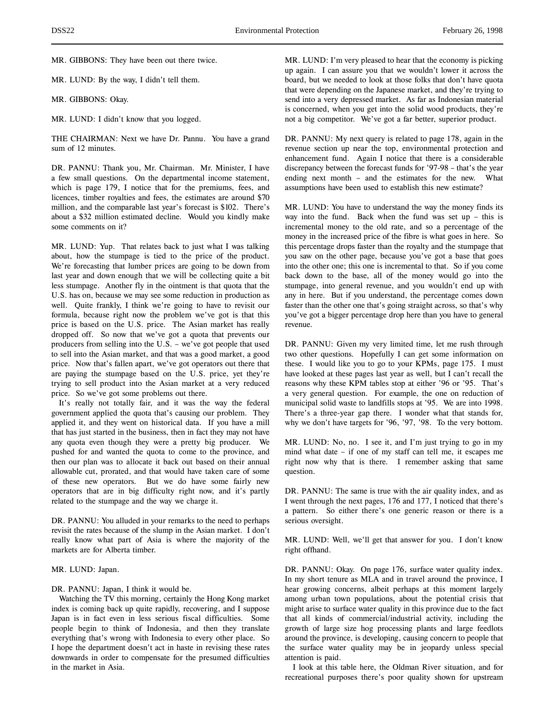MR. GIBBONS: They have been out there twice.

MR. LUND: By the way, I didn't tell them.

MR. GIBBONS: Okay.

MR. LUND: I didn't know that you logged.

THE CHAIRMAN: Next we have Dr. Pannu. You have a grand sum of 12 minutes.

DR. PANNU: Thank you, Mr. Chairman. Mr. Minister, I have a few small questions. On the departmental income statement, which is page 179, I notice that for the premiums, fees, and licences, timber royalties and fees, the estimates are around \$70 million, and the comparable last year's forecast is \$102. There's about a \$32 million estimated decline. Would you kindly make some comments on it?

MR. LUND: Yup. That relates back to just what I was talking about, how the stumpage is tied to the price of the product. We're forecasting that lumber prices are going to be down from last year and down enough that we will be collecting quite a bit less stumpage. Another fly in the ointment is that quota that the U.S. has on, because we may see some reduction in production as well. Quite frankly, I think we're going to have to revisit our formula, because right now the problem we've got is that this price is based on the U.S. price. The Asian market has really dropped off. So now that we've got a quota that prevents our producers from selling into the U.S. – we've got people that used to sell into the Asian market, and that was a good market, a good price. Now that's fallen apart, we've got operators out there that are paying the stumpage based on the U.S. price, yet they're trying to sell product into the Asian market at a very reduced price. So we've got some problems out there.

It's really not totally fair, and it was the way the federal government applied the quota that's causing our problem. They applied it, and they went on historical data. If you have a mill that has just started in the business, then in fact they may not have any quota even though they were a pretty big producer. We pushed for and wanted the quota to come to the province, and then our plan was to allocate it back out based on their annual allowable cut, prorated, and that would have taken care of some of these new operators. But we do have some fairly new operators that are in big difficulty right now, and it's partly related to the stumpage and the way we charge it.

DR. PANNU: You alluded in your remarks to the need to perhaps revisit the rates because of the slump in the Asian market. I don't really know what part of Asia is where the majority of the markets are for Alberta timber.

MR. LUND: Japan.

## DR. PANNU: Japan, I think it would be.

Watching the TV this morning, certainly the Hong Kong market index is coming back up quite rapidly, recovering, and I suppose Japan is in fact even in less serious fiscal difficulties. Some people begin to think of Indonesia, and then they translate everything that's wrong with Indonesia to every other place. So I hope the department doesn't act in haste in revising these rates downwards in order to compensate for the presumed difficulties in the market in Asia.

MR. LUND: I'm very pleased to hear that the economy is picking up again. I can assure you that we wouldn't lower it across the board, but we needed to look at those folks that don't have quota that were depending on the Japanese market, and they're trying to send into a very depressed market. As far as Indonesian material is concerned, when you get into the solid wood products, they're not a big competitor. We've got a far better, superior product.

DR. PANNU: My next query is related to page 178, again in the revenue section up near the top, environmental protection and enhancement fund. Again I notice that there is a considerable discrepancy between the forecast funds for '97-98 – that's the year ending next month – and the estimates for the new. What assumptions have been used to establish this new estimate?

MR. LUND: You have to understand the way the money finds its way into the fund. Back when the fund was set  $up$  – this is incremental money to the old rate, and so a percentage of the money in the increased price of the fibre is what goes in here. So this percentage drops faster than the royalty and the stumpage that you saw on the other page, because you've got a base that goes into the other one; this one is incremental to that. So if you come back down to the base, all of the money would go into the stumpage, into general revenue, and you wouldn't end up with any in here. But if you understand, the percentage comes down faster than the other one that's going straight across, so that's why you've got a bigger percentage drop here than you have to general revenue.

DR. PANNU: Given my very limited time, let me rush through two other questions. Hopefully I can get some information on these. I would like you to go to your KPMs, page 175. I must have looked at these pages last year as well, but I can't recall the reasons why these KPM tables stop at either '96 or '95. That's a very general question. For example, the one on reduction of municipal solid waste to landfills stops at '95. We are into 1998. There's a three-year gap there. I wonder what that stands for, why we don't have targets for '96, '97, '98. To the very bottom.

MR. LUND: No, no. I see it, and I'm just trying to go in my mind what date – if one of my staff can tell me, it escapes me right now why that is there. I remember asking that same question.

DR. PANNU: The same is true with the air quality index, and as I went through the next pages, 176 and 177, I noticed that there's a pattern. So either there's one generic reason or there is a serious oversight.

MR. LUND: Well, we'll get that answer for you. I don't know right offhand.

DR. PANNU: Okay. On page 176, surface water quality index. In my short tenure as MLA and in travel around the province, I hear growing concerns, albeit perhaps at this moment largely among urban town populations, about the potential crisis that might arise to surface water quality in this province due to the fact that all kinds of commercial/industrial activity, including the growth of large size hog processing plants and large feedlots around the province, is developing, causing concern to people that the surface water quality may be in jeopardy unless special attention is paid.

I look at this table here, the Oldman River situation, and for recreational purposes there's poor quality shown for upstream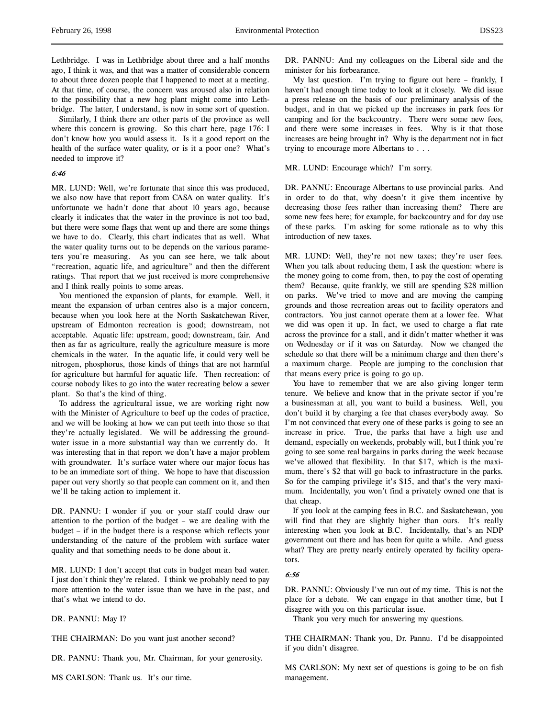Lethbridge. I was in Lethbridge about three and a half months ago, I think it was, and that was a matter of considerable concern to about three dozen people that I happened to meet at a meeting. At that time, of course, the concern was aroused also in relation to the possibility that a new hog plant might come into Lethbridge. The latter, I understand, is now in some sort of question.

Similarly, I think there are other parts of the province as well where this concern is growing. So this chart here, page 176: I don't know how you would assess it. Is it a good report on the health of the surface water quality, or is it a poor one? What's needed to improve it?

## 6:46

MR. LUND: Well, we're fortunate that since this was produced, we also now have that report from CASA on water quality. It's unfortunate we hadn't done that about 10 years ago, because clearly it indicates that the water in the province is not too bad, but there were some flags that went up and there are some things we have to do. Clearly, this chart indicates that as well. What the water quality turns out to be depends on the various parameters you're measuring. As you can see here, we talk about "recreation, aquatic life, and agriculture" and then the different ratings. That report that we just received is more comprehensive and I think really points to some areas.

You mentioned the expansion of plants, for example. Well, it meant the expansion of urban centres also is a major concern, because when you look here at the North Saskatchewan River, upstream of Edmonton recreation is good; downstream, not acceptable. Aquatic life: upstream, good; downstream, fair. And then as far as agriculture, really the agriculture measure is more chemicals in the water. In the aquatic life, it could very well be nitrogen, phosphorus, those kinds of things that are not harmful for agriculture but harmful for aquatic life. Then recreation: of course nobody likes to go into the water recreating below a sewer plant. So that's the kind of thing.

To address the agricultural issue, we are working right now with the Minister of Agriculture to beef up the codes of practice, and we will be looking at how we can put teeth into those so that they're actually legislated. We will be addressing the groundwater issue in a more substantial way than we currently do. It was interesting that in that report we don't have a major problem with groundwater. It's surface water where our major focus has to be an immediate sort of thing. We hope to have that discussion paper out very shortly so that people can comment on it, and then we'll be taking action to implement it.

DR. PANNU: I wonder if you or your staff could draw our attention to the portion of the budget – we are dealing with the budget – if in the budget there is a response which reflects your understanding of the nature of the problem with surface water quality and that something needs to be done about it.

MR. LUND: I don't accept that cuts in budget mean bad water. I just don't think they're related. I think we probably need to pay more attention to the water issue than we have in the past, and that's what we intend to do.

DR. PANNU: May I?

THE CHAIRMAN: Do you want just another second?

DR. PANNU: Thank you, Mr. Chairman, for your generosity.

DR. PANNU: And my colleagues on the Liberal side and the minister for his forbearance.

My last question. I'm trying to figure out here – frankly, I haven't had enough time today to look at it closely. We did issue a press release on the basis of our preliminary analysis of the budget, and in that we picked up the increases in park fees for camping and for the backcountry. There were some new fees, and there were some increases in fees. Why is it that those increases are being brought in? Why is the department not in fact trying to encourage more Albertans to . . .

MR. LUND: Encourage which? I'm sorry.

DR. PANNU: Encourage Albertans to use provincial parks. And in order to do that, why doesn't it give them incentive by decreasing those fees rather than increasing them? There are some new fees here; for example, for backcountry and for day use of these parks. I'm asking for some rationale as to why this introduction of new taxes.

MR. LUND: Well, they're not new taxes; they're user fees. When you talk about reducing them, I ask the question: where is the money going to come from, then, to pay the cost of operating them? Because, quite frankly, we still are spending \$28 million on parks. We've tried to move and are moving the camping grounds and those recreation areas out to facility operators and contractors. You just cannot operate them at a lower fee. What we did was open it up. In fact, we used to charge a flat rate across the province for a stall, and it didn't matter whether it was on Wednesday or if it was on Saturday. Now we changed the schedule so that there will be a minimum charge and then there's a maximum charge. People are jumping to the conclusion that that means every price is going to go up.

You have to remember that we are also giving longer term tenure. We believe and know that in the private sector if you're a businessman at all, you want to build a business. Well, you don't build it by charging a fee that chases everybody away. So I'm not convinced that every one of these parks is going to see an increase in price. True, the parks that have a high use and demand, especially on weekends, probably will, but I think you're going to see some real bargains in parks during the week because we've allowed that flexibility. In that \$17, which is the maximum, there's \$2 that will go back to infrastructure in the parks. So for the camping privilege it's \$15, and that's the very maximum. Incidentally, you won't find a privately owned one that is that cheap.

If you look at the camping fees in B.C. and Saskatchewan, you will find that they are slightly higher than ours. It's really interesting when you look at B.C. Incidentally, that's an NDP government out there and has been for quite a while. And guess what? They are pretty nearly entirely operated by facility operators.

#### 6:56

DR. PANNU: Obviously I've run out of my time. This is not the place for a debate. We can engage in that another time, but I disagree with you on this particular issue.

Thank you very much for answering my questions.

THE CHAIRMAN: Thank you, Dr. Pannu. I'd be disappointed if you didn't disagree.

MS CARLSON: My next set of questions is going to be on fish management.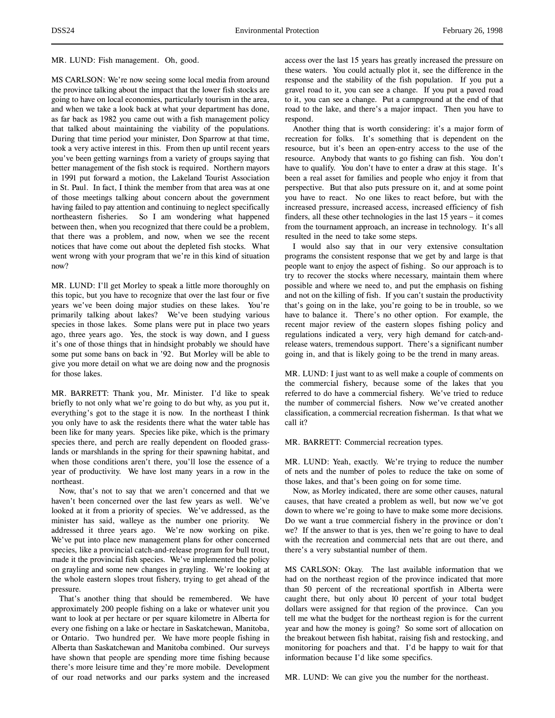## MR. LUND: Fish management. Oh, good.

MS CARLSON: We're now seeing some local media from around the province talking about the impact that the lower fish stocks are going to have on local economies, particularly tourism in the area, and when we take a look back at what your department has done, as far back as 1982 you came out with a fish management policy that talked about maintaining the viability of the populations. During that time period your minister, Don Sparrow at that time, took a very active interest in this. From then up until recent years you've been getting warnings from a variety of groups saying that better management of the fish stock is required. Northern mayors in 1991 put forward a motion, the Lakeland Tourist Association in St. Paul. In fact, I think the member from that area was at one of those meetings talking about concern about the government having failed to pay attention and continuing to neglect specifically northeastern fisheries. So I am wondering what happened between then, when you recognized that there could be a problem, that there was a problem, and now, when we see the recent notices that have come out about the depleted fish stocks. What went wrong with your program that we're in this kind of situation now?

MR. LUND: I'll get Morley to speak a little more thoroughly on this topic, but you have to recognize that over the last four or five years we've been doing major studies on these lakes. You're primarily talking about lakes? We've been studying various species in those lakes. Some plans were put in place two years ago, three years ago. Yes, the stock is way down, and I guess it's one of those things that in hindsight probably we should have some put some bans on back in '92. But Morley will be able to give you more detail on what we are doing now and the prognosis for those lakes.

MR. BARRETT: Thank you, Mr. Minister. I'd like to speak briefly to not only what we're going to do but why, as you put it, everything's got to the stage it is now. In the northeast I think you only have to ask the residents there what the water table has been like for many years. Species like pike, which is the primary species there, and perch are really dependent on flooded grasslands or marshlands in the spring for their spawning habitat, and when those conditions aren't there, you'll lose the essence of a year of productivity. We have lost many years in a row in the northeast.

Now, that's not to say that we aren't concerned and that we haven't been concerned over the last few years as well. We've looked at it from a priority of species. We've addressed, as the minister has said, walleye as the number one priority. We addressed it three years ago. We're now working on pike. We've put into place new management plans for other concerned species, like a provincial catch-and-release program for bull trout, made it the provincial fish species. We've implemented the policy on grayling and some new changes in grayling. We're looking at the whole eastern slopes trout fishery, trying to get ahead of the pressure.

That's another thing that should be remembered. We have approximately 200 people fishing on a lake or whatever unit you want to look at per hectare or per square kilometre in Alberta for every one fishing on a lake or hectare in Saskatchewan, Manitoba, or Ontario. Two hundred per. We have more people fishing in Alberta than Saskatchewan and Manitoba combined. Our surveys have shown that people are spending more time fishing because there's more leisure time and they're more mobile. Development of our road networks and our parks system and the increased

access over the last 15 years has greatly increased the pressure on these waters. You could actually plot it, see the difference in the response and the stability of the fish population. If you put a gravel road to it, you can see a change. If you put a paved road to it, you can see a change. Put a campground at the end of that road to the lake, and there's a major impact. Then you have to respond.

Another thing that is worth considering: it's a major form of recreation for folks. It's something that is dependent on the resource, but it's been an open-entry access to the use of the resource. Anybody that wants to go fishing can fish. You don't have to qualify. You don't have to enter a draw at this stage. It's been a real asset for families and people who enjoy it from that perspective. But that also puts pressure on it, and at some point you have to react. No one likes to react before, but with the increased pressure, increased access, increased efficiency of fish finders, all these other technologies in the last 15 years – it comes from the tournament approach, an increase in technology. It's all resulted in the need to take some steps.

I would also say that in our very extensive consultation programs the consistent response that we get by and large is that people want to enjoy the aspect of fishing. So our approach is to try to recover the stocks where necessary, maintain them where possible and where we need to, and put the emphasis on fishing and not on the killing of fish. If you can't sustain the productivity that's going on in the lake, you're going to be in trouble, so we have to balance it. There's no other option. For example, the recent major review of the eastern slopes fishing policy and regulations indicated a very, very high demand for catch-andrelease waters, tremendous support. There's a significant number going in, and that is likely going to be the trend in many areas.

MR. LUND: I just want to as well make a couple of comments on the commercial fishery, because some of the lakes that you referred to do have a commercial fishery. We've tried to reduce the number of commercial fishers. Now we've created another classification, a commercial recreation fisherman. Is that what we call it?

## MR. BARRETT: Commercial recreation types.

MR. LUND: Yeah, exactly. We're trying to reduce the number of nets and the number of poles to reduce the take on some of those lakes, and that's been going on for some time.

Now, as Morley indicated, there are some other causes, natural causes, that have created a problem as well, but now we've got down to where we're going to have to make some more decisions. Do we want a true commercial fishery in the province or don't we? If the answer to that is yes, then we're going to have to deal with the recreation and commercial nets that are out there, and there's a very substantial number of them.

MS CARLSON: Okay. The last available information that we had on the northeast region of the province indicated that more than 50 percent of the recreational sportfish in Alberta were caught there, but only about 10 percent of your total budget dollars were assigned for that region of the province. Can you tell me what the budget for the northeast region is for the current year and how the money is going? So some sort of allocation on the breakout between fish habitat, raising fish and restocking, and monitoring for poachers and that. I'd be happy to wait for that information because I'd like some specifics.

MR. LUND: We can give you the number for the northeast.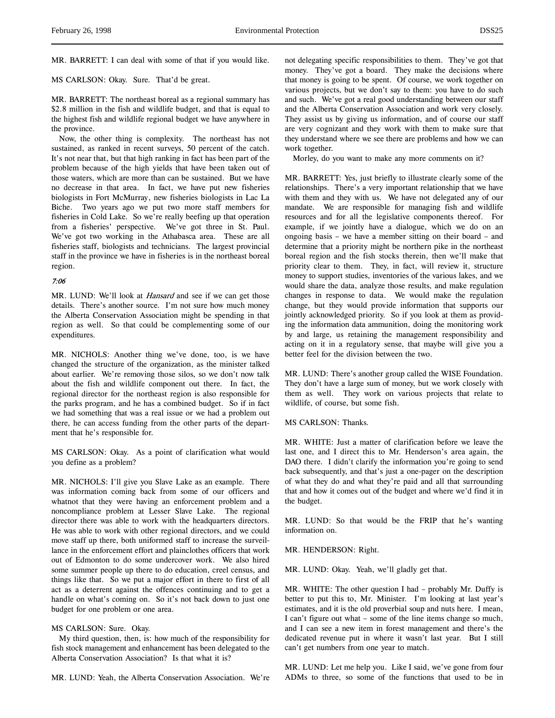MR. BARRETT: I can deal with some of that if you would like.

MS CARLSON: Okay. Sure. That'd be great.

MR. BARRETT: The northeast boreal as a regional summary has \$2.8 million in the fish and wildlife budget, and that is equal to the highest fish and wildlife regional budget we have anywhere in the province.

Now, the other thing is complexity. The northeast has not sustained, as ranked in recent surveys, 50 percent of the catch. It's not near that, but that high ranking in fact has been part of the problem because of the high yields that have been taken out of those waters, which are more than can be sustained. But we have no decrease in that area. In fact, we have put new fisheries biologists in Fort McMurray, new fisheries biologists in Lac La Biche. Two years ago we put two more staff members for fisheries in Cold Lake. So we're really beefing up that operation from a fisheries' perspective. We've got three in St. Paul. We've got two working in the Athabasca area. These are all fisheries staff, biologists and technicians. The largest provincial staff in the province we have in fisheries is in the northeast boreal region.

# 7:06

MR. LUND: We'll look at *Hansard* and see if we can get those details. There's another source. I'm not sure how much money the Alberta Conservation Association might be spending in that region as well. So that could be complementing some of our expenditures.

MR. NICHOLS: Another thing we've done, too, is we have changed the structure of the organization, as the minister talked about earlier. We're removing those silos, so we don't now talk about the fish and wildlife component out there. In fact, the regional director for the northeast region is also responsible for the parks program, and he has a combined budget. So if in fact we had something that was a real issue or we had a problem out there, he can access funding from the other parts of the department that he's responsible for.

MS CARLSON: Okay. As a point of clarification what would you define as a problem?

MR. NICHOLS: I'll give you Slave Lake as an example. There was information coming back from some of our officers and whatnot that they were having an enforcement problem and a noncompliance problem at Lesser Slave Lake. The regional director there was able to work with the headquarters directors. He was able to work with other regional directors, and we could move staff up there, both uniformed staff to increase the surveillance in the enforcement effort and plainclothes officers that work out of Edmonton to do some undercover work. We also hired some summer people up there to do education, creel census, and things like that. So we put a major effort in there to first of all act as a deterrent against the offences continuing and to get a handle on what's coming on. So it's not back down to just one budget for one problem or one area.

# MS CARLSON: Sure. Okay.

My third question, then, is: how much of the responsibility for fish stock management and enhancement has been delegated to the Alberta Conservation Association? Is that what it is?

MR. LUND: Yeah, the Alberta Conservation Association. We're

not delegating specific responsibilities to them. They've got that money. They've got a board. They make the decisions where that money is going to be spent. Of course, we work together on various projects, but we don't say to them: you have to do such and such. We've got a real good understanding between our staff and the Alberta Conservation Association and work very closely. They assist us by giving us information, and of course our staff are very cognizant and they work with them to make sure that they understand where we see there are problems and how we can work together.

Morley, do you want to make any more comments on it?

MR. BARRETT: Yes, just briefly to illustrate clearly some of the relationships. There's a very important relationship that we have with them and they with us. We have not delegated any of our mandate. We are responsible for managing fish and wildlife resources and for all the legislative components thereof. For example, if we jointly have a dialogue, which we do on an ongoing basis – we have a member sitting on their board – and determine that a priority might be northern pike in the northeast boreal region and the fish stocks therein, then we'll make that priority clear to them. They, in fact, will review it, structure money to support studies, inventories of the various lakes, and we would share the data, analyze those results, and make regulation changes in response to data. We would make the regulation change, but they would provide information that supports our jointly acknowledged priority. So if you look at them as providing the information data ammunition, doing the monitoring work by and large, us retaining the management responsibility and acting on it in a regulatory sense, that maybe will give you a better feel for the division between the two.

MR. LUND: There's another group called the WISE Foundation. They don't have a large sum of money, but we work closely with them as well. They work on various projects that relate to wildlife, of course, but some fish.

MS CARLSON: Thanks.

MR. WHITE: Just a matter of clarification before we leave the last one, and I direct this to Mr. Henderson's area again, the DAO there. I didn't clarify the information you're going to send back subsequently, and that's just a one-pager on the description of what they do and what they're paid and all that surrounding that and how it comes out of the budget and where we'd find it in the budget.

MR. LUND: So that would be the FRIP that he's wanting information on.

MR. HENDERSON: Right.

MR. LUND: Okay. Yeah, we'll gladly get that.

MR. WHITE: The other question I had – probably Mr. Duffy is better to put this to, Mr. Minister. I'm looking at last year's estimates, and it is the old proverbial soup and nuts here. I mean, I can't figure out what – some of the line items change so much, and I can see a new item in forest management and there's the dedicated revenue put in where it wasn't last year. But I still can't get numbers from one year to match.

MR. LUND: Let me help you. Like I said, we've gone from four ADMs to three, so some of the functions that used to be in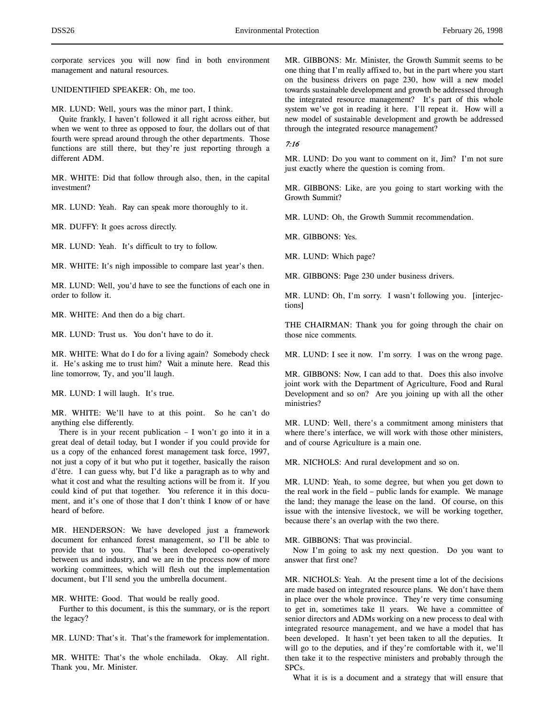corporate services you will now find in both environment management and natural resources.

UNIDENTIFIED SPEAKER: Oh, me too.

MR. LUND: Well, yours was the minor part, I think.

Quite frankly, I haven't followed it all right across either, but when we went to three as opposed to four, the dollars out of that fourth were spread around through the other departments. Those functions are still there, but they're just reporting through a different ADM.

MR. WHITE: Did that follow through also, then, in the capital investment?

MR. LUND: Yeah. Ray can speak more thoroughly to it.

MR. DUFFY: It goes across directly.

MR. LUND: Yeah. It's difficult to try to follow.

MR. WHITE: It's nigh impossible to compare last year's then.

MR. LUND: Well, you'd have to see the functions of each one in order to follow it.

MR. WHITE: And then do a big chart.

MR. LUND: Trust us. You don't have to do it.

MR. WHITE: What do I do for a living again? Somebody check it. He's asking me to trust him? Wait a minute here. Read this line tomorrow, Ty, and you'll laugh.

MR. LUND: I will laugh. It's true.

MR. WHITE: We'll have to at this point. So he can't do anything else differently.

There is in your recent publication – I won't go into it in a great deal of detail today, but I wonder if you could provide for us a copy of the enhanced forest management task force, 1997, not just a copy of it but who put it together, basically the raison d'être. I can guess why, but I'd like a paragraph as to why and what it cost and what the resulting actions will be from it. If you could kind of put that together. You reference it in this document, and it's one of those that I don't think I know of or have heard of before.

MR. HENDERSON: We have developed just a framework document for enhanced forest management, so I'll be able to provide that to you. That's been developed co-operatively between us and industry, and we are in the process now of more working committees, which will flesh out the implementation document, but I'll send you the umbrella document.

MR. WHITE: Good. That would be really good.

Further to this document, is this the summary, or is the report the legacy?

MR. LUND: That's it. That's the framework for implementation.

MR. WHITE: That's the whole enchilada. Okay. All right. Thank you, Mr. Minister.

MR. GIBBONS: Mr. Minister, the Growth Summit seems to be one thing that I'm really affixed to, but in the part where you start on the business drivers on page 230, how will a new model towards sustainable development and growth be addressed through the integrated resource management? It's part of this whole system we've got in reading it here. I'll repeat it. How will a new model of sustainable development and growth be addressed through the integrated resource management?

# 7:16

MR. LUND: Do you want to comment on it, Jim? I'm not sure just exactly where the question is coming from.

MR. GIBBONS: Like, are you going to start working with the Growth Summit?

MR. LUND: Oh, the Growth Summit recommendation.

MR. GIBBONS: Yes.

MR. LUND: Which page?

MR. GIBBONS: Page 230 under business drivers.

MR. LUND: Oh, I'm sorry. I wasn't following you. [interjections]

THE CHAIRMAN: Thank you for going through the chair on those nice comments.

MR. LUND: I see it now. I'm sorry. I was on the wrong page.

MR. GIBBONS: Now, I can add to that. Does this also involve joint work with the Department of Agriculture, Food and Rural Development and so on? Are you joining up with all the other ministries?

MR. LUND: Well, there's a commitment among ministers that where there's interface, we will work with those other ministers, and of course Agriculture is a main one.

MR. NICHOLS: And rural development and so on.

MR. LUND: Yeah, to some degree, but when you get down to the real work in the field – public lands for example. We manage the land; they manage the lease on the land. Of course, on this issue with the intensive livestock, we will be working together, because there's an overlap with the two there.

MR. GIBBONS: That was provincial.

Now I'm going to ask my next question. Do you want to answer that first one?

MR. NICHOLS: Yeah. At the present time a lot of the decisions are made based on integrated resource plans. We don't have them in place over the whole province. They're very time consuming to get in, sometimes take 11 years. We have a committee of senior directors and ADMs working on a new process to deal with integrated resource management, and we have a model that has been developed. It hasn't yet been taken to all the deputies. It will go to the deputies, and if they're comfortable with it, we'll then take it to the respective ministers and probably through the SPCs.

What it is is a document and a strategy that will ensure that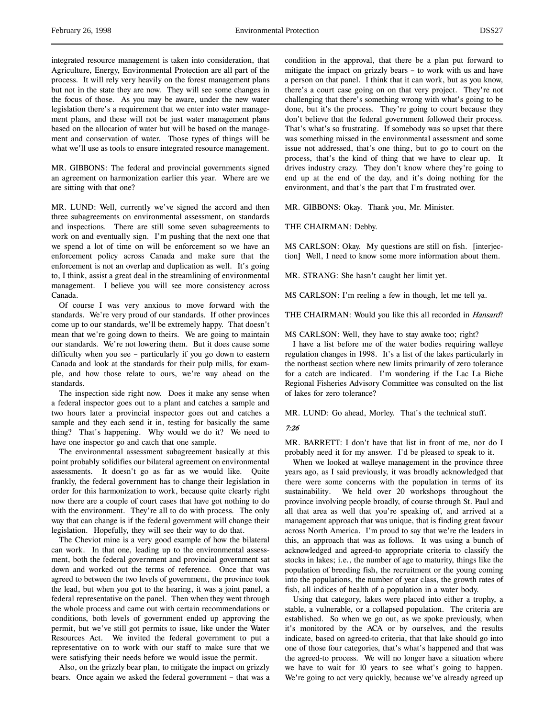integrated resource management is taken into consideration, that Agriculture, Energy, Environmental Protection are all part of the process. It will rely very heavily on the forest management plans but not in the state they are now. They will see some changes in the focus of those. As you may be aware, under the new water legislation there's a requirement that we enter into water management plans, and these will not be just water management plans based on the allocation of water but will be based on the management and conservation of water. Those types of things will be what we'll use as tools to ensure integrated resource management.

MR. GIBBONS: The federal and provincial governments signed an agreement on harmonization earlier this year. Where are we are sitting with that one?

MR. LUND: Well, currently we've signed the accord and then three subagreements on environmental assessment, on standards and inspections. There are still some seven subagreements to work on and eventually sign. I'm pushing that the next one that we spend a lot of time on will be enforcement so we have an enforcement policy across Canada and make sure that the enforcement is not an overlap and duplication as well. It's going to, I think, assist a great deal in the streamlining of environmental management. I believe you will see more consistency across Canada.

Of course I was very anxious to move forward with the standards. We're very proud of our standards. If other provinces come up to our standards, we'll be extremely happy. That doesn't mean that we're going down to theirs. We are going to maintain our standards. We're not lowering them. But it does cause some difficulty when you see – particularly if you go down to eastern Canada and look at the standards for their pulp mills, for example, and how those relate to ours, we're way ahead on the standards.

The inspection side right now. Does it make any sense when a federal inspector goes out to a plant and catches a sample and two hours later a provincial inspector goes out and catches a sample and they each send it in, testing for basically the same thing? That's happening. Why would we do it? We need to have one inspector go and catch that one sample.

The environmental assessment subagreement basically at this point probably solidifies our bilateral agreement on environmental assessments. It doesn't go as far as we would like. Quite frankly, the federal government has to change their legislation in order for this harmonization to work, because quite clearly right now there are a couple of court cases that have got nothing to do with the environment. They're all to do with process. The only way that can change is if the federal government will change their legislation. Hopefully, they will see their way to do that.

The Cheviot mine is a very good example of how the bilateral can work. In that one, leading up to the environmental assessment, both the federal government and provincial government sat down and worked out the terms of reference. Once that was agreed to between the two levels of government, the province took the lead, but when you got to the hearing, it was a joint panel, a federal representative on the panel. Then when they went through the whole process and came out with certain recommendations or conditions, both levels of government ended up approving the permit, but we've still got permits to issue, like under the Water Resources Act. We invited the federal government to put a representative on to work with our staff to make sure that we were satisfying their needs before we would issue the permit.

Also, on the grizzly bear plan, to mitigate the impact on grizzly bears. Once again we asked the federal government – that was a

condition in the approval, that there be a plan put forward to mitigate the impact on grizzly bears – to work with us and have a person on that panel. I think that it can work, but as you know, there's a court case going on on that very project. They're not challenging that there's something wrong with what's going to be done, but it's the process. They're going to court because they don't believe that the federal government followed their process. That's what's so frustrating. If somebody was so upset that there was something missed in the environmental assessment and some issue not addressed, that's one thing, but to go to court on the process, that's the kind of thing that we have to clear up. It drives industry crazy. They don't know where they're going to end up at the end of the day, and it's doing nothing for the environment, and that's the part that I'm frustrated over.

MR. GIBBONS: Okay. Thank you, Mr. Minister.

THE CHAIRMAN: Debby.

MS CARLSON: Okay. My questions are still on fish. [interjection] Well, I need to know some more information about them.

MR. STRANG: She hasn't caught her limit yet.

MS CARLSON: I'm reeling a few in though, let me tell ya.

THE CHAIRMAN: Would you like this all recorded in *Hansard*?

MS CARLSON: Well, they have to stay awake too; right?

I have a list before me of the water bodies requiring walleye regulation changes in 1998. It's a list of the lakes particularly in the northeast section where new limits primarily of zero tolerance for a catch are indicated. I'm wondering if the Lac La Biche Regional Fisheries Advisory Committee was consulted on the list of lakes for zero tolerance?

MR. LUND: Go ahead, Morley. That's the technical stuff.

## 7:26

MR. BARRETT: I don't have that list in front of me, nor do I probably need it for my answer. I'd be pleased to speak to it.

When we looked at walleye management in the province three years ago, as I said previously, it was broadly acknowledged that there were some concerns with the population in terms of its sustainability. We held over 20 workshops throughout the province involving people broadly, of course through St. Paul and all that area as well that you're speaking of, and arrived at a management approach that was unique, that is finding great favour across North America. I'm proud to say that we're the leaders in this, an approach that was as follows. It was using a bunch of acknowledged and agreed-to appropriate criteria to classify the stocks in lakes; i.e., the number of age to maturity, things like the population of breeding fish, the recruitment or the young coming into the populations, the number of year class, the growth rates of fish, all indices of health of a population in a water body.

Using that category, lakes were placed into either a trophy, a stable, a vulnerable, or a collapsed population. The criteria are established. So when we go out, as we spoke previously, when it's monitored by the ACA or by ourselves, and the results indicate, based on agreed-to criteria, that that lake should go into one of those four categories, that's what's happened and that was the agreed-to process. We will no longer have a situation where we have to wait for 10 years to see what's going to happen. We're going to act very quickly, because we've already agreed up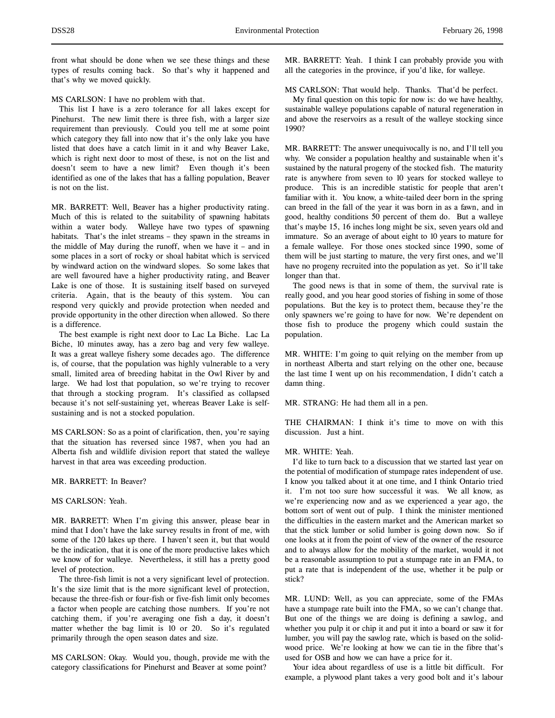front what should be done when we see these things and these types of results coming back. So that's why it happened and that's why we moved quickly.

MS CARLSON: I have no problem with that.

This list I have is a zero tolerance for all lakes except for Pinehurst. The new limit there is three fish, with a larger size requirement than previously. Could you tell me at some point which category they fall into now that it's the only lake you have listed that does have a catch limit in it and why Beaver Lake, which is right next door to most of these, is not on the list and doesn't seem to have a new limit? Even though it's been identified as one of the lakes that has a falling population, Beaver is not on the list.

MR. BARRETT: Well, Beaver has a higher productivity rating. Much of this is related to the suitability of spawning habitats within a water body. Walleye have two types of spawning habitats. That's the inlet streams – they spawn in the streams in the middle of May during the runoff, when we have it – and in some places in a sort of rocky or shoal habitat which is serviced by windward action on the windward slopes. So some lakes that are well favoured have a higher productivity rating, and Beaver Lake is one of those. It is sustaining itself based on surveyed criteria. Again, that is the beauty of this system. You can respond very quickly and provide protection when needed and provide opportunity in the other direction when allowed. So there is a difference.

The best example is right next door to Lac La Biche. Lac La Biche, 10 minutes away, has a zero bag and very few walleye. It was a great walleye fishery some decades ago. The difference is, of course, that the population was highly vulnerable to a very small, limited area of breeding habitat in the Owl River by and large. We had lost that population, so we're trying to recover that through a stocking program. It's classified as collapsed because it's not self-sustaining yet, whereas Beaver Lake is selfsustaining and is not a stocked population.

MS CARLSON: So as a point of clarification, then, you're saying that the situation has reversed since 1987, when you had an Alberta fish and wildlife division report that stated the walleye harvest in that area was exceeding production.

## MR. BARRETT: In Beaver?

# MS CARLSON: Yeah.

MR. BARRETT: When I'm giving this answer, please bear in mind that I don't have the lake survey results in front of me, with some of the 120 lakes up there. I haven't seen it, but that would be the indication, that it is one of the more productive lakes which we know of for walleye. Nevertheless, it still has a pretty good level of protection.

The three-fish limit is not a very significant level of protection. It's the size limit that is the more significant level of protection, because the three-fish or four-fish or five-fish limit only becomes a factor when people are catching those numbers. If you're not catching them, if you're averaging one fish a day, it doesn't matter whether the bag limit is 10 or 20. So it's regulated primarily through the open season dates and size.

MS CARLSON: Okay. Would you, though, provide me with the category classifications for Pinehurst and Beaver at some point?

MR. BARRETT: Yeah. I think I can probably provide you with all the categories in the province, if you'd like, for walleye.

MS CARLSON: That would help. Thanks. That'd be perfect.

My final question on this topic for now is: do we have healthy, sustainable walleye populations capable of natural regeneration in and above the reservoirs as a result of the walleye stocking since 1990?

MR. BARRETT: The answer unequivocally is no, and I'll tell you why. We consider a population healthy and sustainable when it's sustained by the natural progeny of the stocked fish. The maturity rate is anywhere from seven to 10 years for stocked walleye to produce. This is an incredible statistic for people that aren't familiar with it. You know, a white-tailed deer born in the spring can breed in the fall of the year it was born in as a fawn, and in good, healthy conditions 50 percent of them do. But a walleye that's maybe 15, 16 inches long might be six, seven years old and immature. So an average of about eight to 10 years to mature for a female walleye. For those ones stocked since 1990, some of them will be just starting to mature, the very first ones, and we'll have no progeny recruited into the population as yet. So it'll take longer than that.

The good news is that in some of them, the survival rate is really good, and you hear good stories of fishing in some of those populations. But the key is to protect them, because they're the only spawners we're going to have for now. We're dependent on those fish to produce the progeny which could sustain the population.

MR. WHITE: I'm going to quit relying on the member from up in northeast Alberta and start relying on the other one, because the last time I went up on his recommendation, I didn't catch a damn thing.

MR. STRANG: He had them all in a pen.

THE CHAIRMAN: I think it's time to move on with this discussion. Just a hint.

## MR. WHITE: Yeah.

I'd like to turn back to a discussion that we started last year on the potential of modification of stumpage rates independent of use. I know you talked about it at one time, and I think Ontario tried it. I'm not too sure how successful it was. We all know, as we're experiencing now and as we experienced a year ago, the bottom sort of went out of pulp. I think the minister mentioned the difficulties in the eastern market and the American market so that the stick lumber or solid lumber is going down now. So if one looks at it from the point of view of the owner of the resource and to always allow for the mobility of the market, would it not be a reasonable assumption to put a stumpage rate in an FMA, to put a rate that is independent of the use, whether it be pulp or stick?

MR. LUND: Well, as you can appreciate, some of the FMAs have a stumpage rate built into the FMA, so we can't change that. But one of the things we are doing is defining a sawlog, and whether you pulp it or chip it and put it into a board or saw it for lumber, you will pay the sawlog rate, which is based on the solidwood price. We're looking at how we can tie in the fibre that's used for OSB and how we can have a price for it.

Your idea about regardless of use is a little bit difficult. For example, a plywood plant takes a very good bolt and it's labour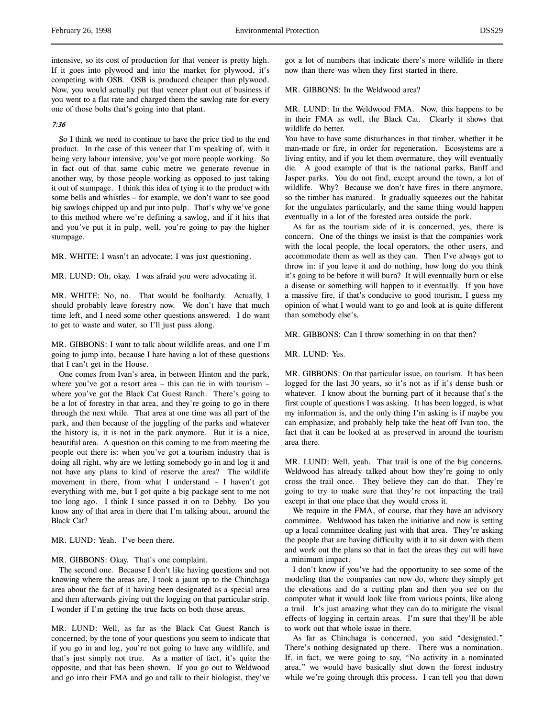intensive, so its cost of production for that veneer is pretty high. If it goes into plywood and into the market for plywood, it's competing with OSB. OSB is produced cheaper than plywood. Now, you would actually put that veneer plant out of business if you went to a flat rate and charged them the sawlog rate for every one of those bolts that's going into that plant.

# 7:36

So I think we need to continue to have the price tied to the end product. In the case of this veneer that I'm speaking of, with it being very labour intensive, you've got more people working. So in fact out of that same cubic metre we generate revenue in another way, by those people working as opposed to just taking it out of stumpage. I think this idea of tying it to the product with some bells and whistles – for example, we don't want to see good big sawlogs chipped up and put into pulp. That's why we've gone to this method where we're defining a sawlog, and if it hits that and you've put it in pulp, well, you're going to pay the higher stumpage.

MR. WHITE: I wasn't an advocate; I was just questioning.

MR. LUND: Oh, okay. I was afraid you were advocating it.

MR. WHITE: No, no. That would be foolhardy. Actually, I should probably leave forestry now. We don't have that much time left, and I need some other questions answered. I do want to get to waste and water, so I'll just pass along.

MR. GIBBONS: I want to talk about wildlife areas, and one I'm going to jump into, because I hate having a lot of these questions that I can't get in the House.

One comes from Ivan's area, in between Hinton and the park, where you've got a resort area – this can tie in with tourism – where you've got the Black Cat Guest Ranch. There's going to be a lot of forestry in that area, and they're going to go in there through the next while. That area at one time was all part of the park, and then because of the juggling of the parks and whatever the history is, it is not in the park anymore. But it is a nice, beautiful area. A question on this coming to me from meeting the people out there is: when you've got a tourism industry that is doing all right, why are we letting somebody go in and log it and not have any plans to kind of reserve the area? The wildlife movement in there, from what I understand – I haven't got everything with me, but I got quite a big package sent to me not too long ago. I think I since passed it on to Debby. Do you know any of that area in there that I'm talking about, around the Black Cat?

MR. LUND: Yeah. I've been there.

MR. GIBBONS: Okay. That's one complaint.

The second one. Because I don't like having questions and not knowing where the areas are, I took a jaunt up to the Chinchaga area about the fact of it having been designated as a special area and then afterwards giving out the logging on that particular strip. I wonder if I'm getting the true facts on both those areas.

MR. LUND: Well, as far as the Black Cat Guest Ranch is concerned, by the tone of your questions you seem to indicate that if you go in and log, you're not going to have any wildlife, and that's just simply not true. As a matter of fact, it's quite the opposite, and that has been shown. If you go out to Weldwood and go into their FMA and go and talk to their biologist, they've

got a lot of numbers that indicate there's more wildlife in there now than there was when they first started in there.

MR. GIBBONS: In the Weldwood area?

MR. LUND: In the Weldwood FMA. Now, this happens to be in their FMA as well, the Black Cat. Clearly it shows that wildlife do better.

You have to have some disturbances in that timber, whether it be man-made or fire, in order for regeneration. Ecosystems are a living entity, and if you let them overmature, they will eventually die. A good example of that is the national parks, Banff and Jasper parks. You do not find, except around the town, a lot of wildlife. Why? Because we don't have fires in there anymore, so the timber has matured. It gradually squeezes out the habitat for the ungulates particularly, and the same thing would happen eventually in a lot of the forested area outside the park.

As far as the tourism side of it is concerned, yes, there is concern. One of the things we insist is that the companies work with the local people, the local operators, the other users, and accommodate them as well as they can. Then I've always got to throw in: if you leave it and do nothing, how long do you think it's going to be before it will burn? It will eventually burn or else a disease or something will happen to it eventually. If you have a massive fire, if that's conducive to good tourism, I guess my opinion of what I would want to go and look at is quite different than somebody else's.

MR. GIBBONS: Can I throw something in on that then?

MR. LUND: Yes.

MR. GIBBONS: On that particular issue, on tourism. It has been logged for the last 30 years, so it's not as if it's dense bush or whatever. I know about the burning part of it because that's the first couple of questions I was asking. It has been logged, is what my information is, and the only thing I'm asking is if maybe you can emphasize, and probably help take the heat off Ivan too, the fact that it can be looked at as preserved in around the tourism area there.

MR. LUND: Well, yeah. That trail is one of the big concerns. Weldwood has already talked about how they're going to only cross the trail once. They believe they can do that. They're going to try to make sure that they're not impacting the trail except in that one place that they would cross it.

We require in the FMA, of course, that they have an advisory committee. Weldwood has taken the initiative and now is setting up a local committee dealing just with that area. They're asking the people that are having difficulty with it to sit down with them and work out the plans so that in fact the areas they cut will have a minimum impact.

I don't know if you've had the opportunity to see some of the modeling that the companies can now do, where they simply get the elevations and do a cutting plan and then you see on the computer what it would look like from various points, like along a trail. It's just amazing what they can do to mitigate the visual effects of logging in certain areas. I'm sure that they'll be able to work out that whole issue in there.

As far as Chinchaga is concerned, you said "designated." There's nothing designated up there. There was a nomination. If, in fact, we were going to say, "No activity in a nominated area," we would have basically shut down the forest industry while we're going through this process. I can tell you that down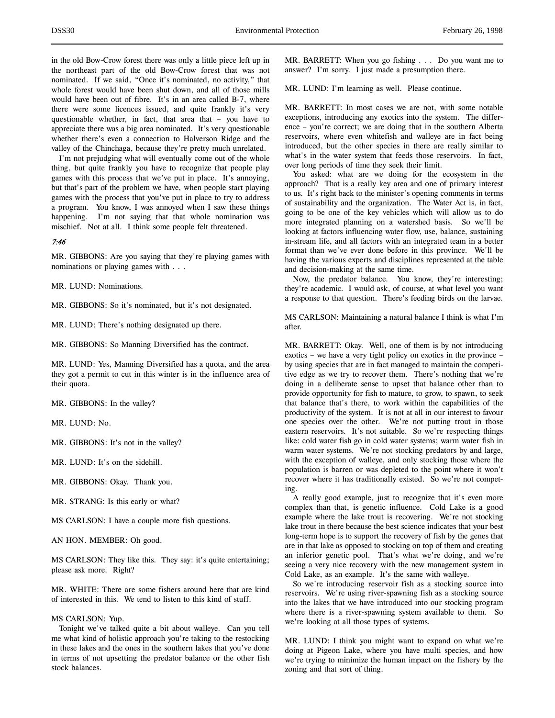in the old Bow-Crow forest there was only a little piece left up in the northeast part of the old Bow-Crow forest that was not nominated. If we said, "Once it's nominated, no activity," that whole forest would have been shut down, and all of those mills would have been out of fibre. It's in an area called B-7, where there were some licences issued, and quite frankly it's very questionable whether, in fact, that area that – you have to appreciate there was a big area nominated. It's very questionable whether there's even a connection to Halverson Ridge and the valley of the Chinchaga, because they're pretty much unrelated.

I'm not prejudging what will eventually come out of the whole thing, but quite frankly you have to recognize that people play games with this process that we've put in place. It's annoying, but that's part of the problem we have, when people start playing games with the process that you've put in place to try to address a program. You know, I was annoyed when I saw these things happening. I'm not saying that that whole nomination was mischief. Not at all. I think some people felt threatened.

## 7:46

MR. GIBBONS: Are you saying that they're playing games with nominations or playing games with . . .

MR. LUND: Nominations.

MR. GIBBONS: So it's nominated, but it's not designated.

MR. LUND: There's nothing designated up there.

MR. GIBBONS: So Manning Diversified has the contract.

MR. LUND: Yes, Manning Diversified has a quota, and the area they got a permit to cut in this winter is in the influence area of their quota.

MR. GIBBONS: In the valley?

MR. LUND: No.

MR. GIBBONS: It's not in the valley?

MR. LUND: It's on the sidehill.

MR. GIBBONS: Okay. Thank you.

MR. STRANG: Is this early or what?

MS CARLSON: I have a couple more fish questions.

AN HON. MEMBER: Oh good.

MS CARLSON: They like this. They say: it's quite entertaining; please ask more. Right?

MR. WHITE: There are some fishers around here that are kind of interested in this. We tend to listen to this kind of stuff.

## MS CARLSON: Yup.

Tonight we've talked quite a bit about walleye. Can you tell me what kind of holistic approach you're taking to the restocking in these lakes and the ones in the southern lakes that you've done in terms of not upsetting the predator balance or the other fish stock balances.

MR. BARRETT: When you go fishing . . . Do you want me to answer? I'm sorry. I just made a presumption there.

MR. LUND: I'm learning as well. Please continue.

MR. BARRETT: In most cases we are not, with some notable exceptions, introducing any exotics into the system. The difference – you're correct; we are doing that in the southern Alberta reservoirs, where even whitefish and walleye are in fact being introduced, but the other species in there are really similar to what's in the water system that feeds those reservoirs. In fact, over long periods of time they seek their limit.

You asked: what are we doing for the ecosystem in the approach? That is a really key area and one of primary interest to us. It's right back to the minister's opening comments in terms of sustainability and the organization. The Water Act is, in fact, going to be one of the key vehicles which will allow us to do more integrated planning on a watershed basis. So we'll be looking at factors influencing water flow, use, balance, sustaining in-stream life, and all factors with an integrated team in a better format than we've ever done before in this province. We'll be having the various experts and disciplines represented at the table and decision-making at the same time.

Now, the predator balance. You know, they're interesting; they're academic. I would ask, of course, at what level you want a response to that question. There's feeding birds on the larvae.

MS CARLSON: Maintaining a natural balance I think is what I'm after.

MR. BARRETT: Okay. Well, one of them is by not introducing exotics – we have a very tight policy on exotics in the province – by using species that are in fact managed to maintain the competitive edge as we try to recover them. There's nothing that we're doing in a deliberate sense to upset that balance other than to provide opportunity for fish to mature, to grow, to spawn, to seek that balance that's there, to work within the capabilities of the productivity of the system. It is not at all in our interest to favour one species over the other. We're not putting trout in those eastern reservoirs. It's not suitable. So we're respecting things like: cold water fish go in cold water systems; warm water fish in warm water systems. We're not stocking predators by and large, with the exception of walleye, and only stocking those where the population is barren or was depleted to the point where it won't recover where it has traditionally existed. So we're not competing.

A really good example, just to recognize that it's even more complex than that, is genetic influence. Cold Lake is a good example where the lake trout is recovering. We're not stocking lake trout in there because the best science indicates that your best long-term hope is to support the recovery of fish by the genes that are in that lake as opposed to stocking on top of them and creating an inferior genetic pool. That's what we're doing, and we're seeing a very nice recovery with the new management system in Cold Lake, as an example. It's the same with walleye.

So we're introducing reservoir fish as a stocking source into reservoirs. We're using river-spawning fish as a stocking source into the lakes that we have introduced into our stocking program where there is a river-spawning system available to them. So we're looking at all those types of systems.

MR. LUND: I think you might want to expand on what we're doing at Pigeon Lake, where you have multi species, and how we're trying to minimize the human impact on the fishery by the zoning and that sort of thing.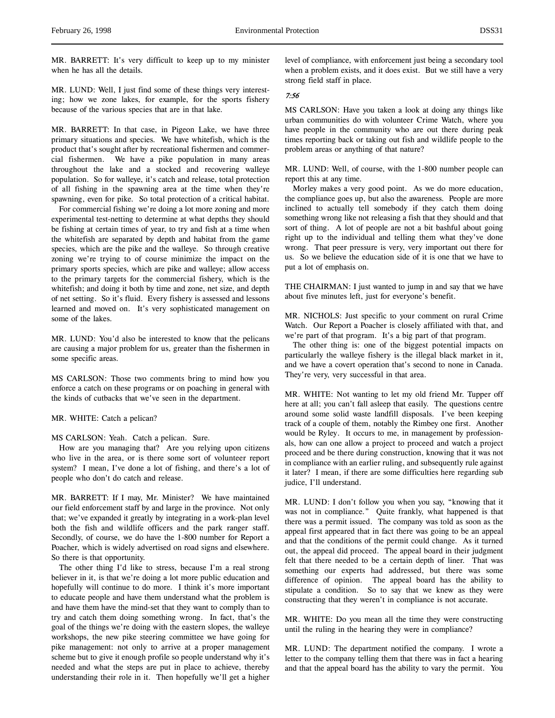MR. BARRETT: It's very difficult to keep up to my minister when he has all the details.

MR. LUND: Well, I just find some of these things very interesting; how we zone lakes, for example, for the sports fishery because of the various species that are in that lake.

MR. BARRETT: In that case, in Pigeon Lake, we have three primary situations and species. We have whitefish, which is the product that's sought after by recreational fishermen and commercial fishermen. We have a pike population in many areas throughout the lake and a stocked and recovering walleye population. So for walleye, it's catch and release, total protection of all fishing in the spawning area at the time when they're spawning, even for pike. So total protection of a critical habitat.

For commercial fishing we're doing a lot more zoning and more experimental test-netting to determine at what depths they should be fishing at certain times of year, to try and fish at a time when the whitefish are separated by depth and habitat from the game species, which are the pike and the walleye. So through creative zoning we're trying to of course minimize the impact on the primary sports species, which are pike and walleye; allow access to the primary targets for the commercial fishery, which is the whitefish; and doing it both by time and zone, net size, and depth of net setting. So it's fluid. Every fishery is assessed and lessons learned and moved on. It's very sophisticated management on some of the lakes.

MR. LUND: You'd also be interested to know that the pelicans are causing a major problem for us, greater than the fishermen in some specific areas.

MS CARLSON: Those two comments bring to mind how you enforce a catch on these programs or on poaching in general with the kinds of cutbacks that we've seen in the department.

## MR. WHITE: Catch a pelican?

#### MS CARLSON: Yeah. Catch a pelican. Sure.

How are you managing that? Are you relying upon citizens who live in the area, or is there some sort of volunteer report system? I mean, I've done a lot of fishing, and there's a lot of people who don't do catch and release.

MR. BARRETT: If I may, Mr. Minister? We have maintained our field enforcement staff by and large in the province. Not only that; we've expanded it greatly by integrating in a work-plan level both the fish and wildlife officers and the park ranger staff. Secondly, of course, we do have the 1-800 number for Report a Poacher, which is widely advertised on road signs and elsewhere. So there is that opportunity.

The other thing I'd like to stress, because I'm a real strong believer in it, is that we're doing a lot more public education and hopefully will continue to do more. I think it's more important to educate people and have them understand what the problem is and have them have the mind-set that they want to comply than to try and catch them doing something wrong. In fact, that's the goal of the things we're doing with the eastern slopes, the walleye workshops, the new pike steering committee we have going for pike management: not only to arrive at a proper management scheme but to give it enough profile so people understand why it's needed and what the steps are put in place to achieve, thereby understanding their role in it. Then hopefully we'll get a higher

level of compliance, with enforcement just being a secondary tool when a problem exists, and it does exist. But we still have a very strong field staff in place.

# 7:56

MS CARLSON: Have you taken a look at doing any things like urban communities do with volunteer Crime Watch, where you have people in the community who are out there during peak times reporting back or taking out fish and wildlife people to the problem areas or anything of that nature?

MR. LUND: Well, of course, with the 1-800 number people can report this at any time.

Morley makes a very good point. As we do more education, the compliance goes up, but also the awareness. People are more inclined to actually tell somebody if they catch them doing something wrong like not releasing a fish that they should and that sort of thing. A lot of people are not a bit bashful about going right up to the individual and telling them what they've done wrong. That peer pressure is very, very important out there for us. So we believe the education side of it is one that we have to put a lot of emphasis on.

THE CHAIRMAN: I just wanted to jump in and say that we have about five minutes left, just for everyone's benefit.

MR. NICHOLS: Just specific to your comment on rural Crime Watch. Our Report a Poacher is closely affiliated with that, and we're part of that program. It's a big part of that program.

The other thing is: one of the biggest potential impacts on particularly the walleye fishery is the illegal black market in it, and we have a covert operation that's second to none in Canada. They're very, very successful in that area.

MR. WHITE: Not wanting to let my old friend Mr. Tupper off here at all; you can't fall asleep that easily. The questions centre around some solid waste landfill disposals. I've been keeping track of a couple of them, notably the Rimbey one first. Another would be Ryley. It occurs to me, in management by professionals, how can one allow a project to proceed and watch a project proceed and be there during construction, knowing that it was not in compliance with an earlier ruling, and subsequently rule against it later? I mean, if there are some difficulties here regarding sub judice, I'll understand.

MR. LUND: I don't follow you when you say, "knowing that it was not in compliance." Quite frankly, what happened is that there was a permit issued. The company was told as soon as the appeal first appeared that in fact there was going to be an appeal and that the conditions of the permit could change. As it turned out, the appeal did proceed. The appeal board in their judgment felt that there needed to be a certain depth of liner. That was something our experts had addressed, but there was some difference of opinion. The appeal board has the ability to stipulate a condition. So to say that we knew as they were constructing that they weren't in compliance is not accurate.

MR. WHITE: Do you mean all the time they were constructing until the ruling in the hearing they were in compliance?

MR. LUND: The department notified the company. I wrote a letter to the company telling them that there was in fact a hearing and that the appeal board has the ability to vary the permit. You